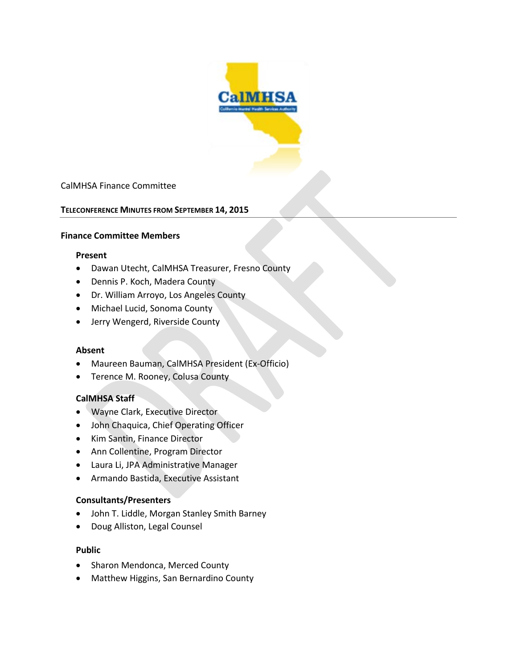

## CalMHSA Finance Committee

#### **TELECONFERENCE MINUTES FROM SEPTEMBER 14, 2015**

### **Finance Committee Members**

#### **Present**

- Dawan Utecht, CalMHSA Treasurer, Fresno County
- Dennis P. Koch, Madera County
- Dr. William Arroyo, Los Angeles County
- Michael Lucid, Sonoma County
- Jerry Wengerd, Riverside County

#### **Absent**

- Maureen Bauman, CalMHSA President (Ex-Officio)
- Terence M. Rooney, Colusa County

#### **CalMHSA Staff**

- Wayne Clark, Executive Director
- John Chaquica, Chief Operating Officer
- Kim Santin, Finance Director
- Ann Collentine, Program Director
- Laura Li, JPA Administrative Manager
- Armando Bastida, Executive Assistant

### **Consultants/Presenters**

- John T. Liddle, Morgan Stanley Smith Barney
- Doug Alliston, Legal Counsel

### **Public**

- Sharon Mendonca, Merced County
- Matthew Higgins, San Bernardino County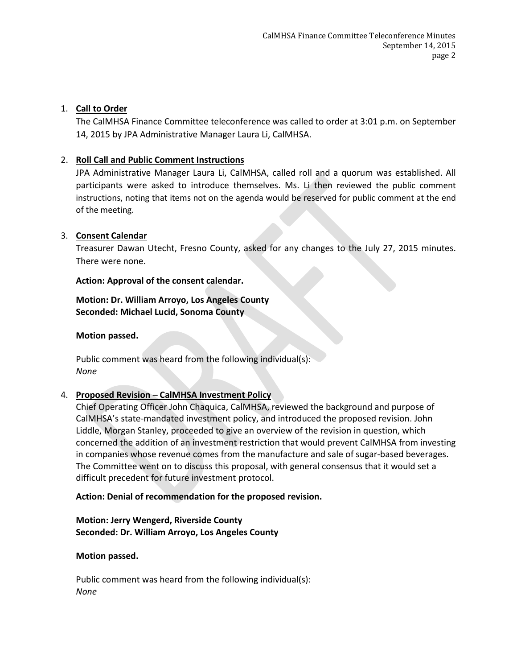## 1. **Call to Order**

The CalMHSA Finance Committee teleconference was called to order at 3:01 p.m. on September 14, 2015 by JPA Administrative Manager Laura Li, CalMHSA.

## 2. **Roll Call and Public Comment Instructions**

JPA Administrative Manager Laura Li, CalMHSA, called roll and a quorum was established. All participants were asked to introduce themselves. Ms. Li then reviewed the public comment instructions, noting that items not on the agenda would be reserved for public comment at the end of the meeting.

## 3. **Consent Calendar**

Treasurer Dawan Utecht, Fresno County, asked for any changes to the July 27, 2015 minutes. There were none.

## **Action: Approval of the consent calendar.**

## **Motion: Dr. William Arroyo, Los Angeles County Seconded: Michael Lucid, Sonoma County**

## **Motion passed.**

Public comment was heard from the following individual(s): *None*

# 4. **Proposed Revision ─ CalMHSA Investment Policy**

Chief Operating Officer John Chaquica, CalMHSA, reviewed the background and purpose of CalMHSA's state-mandated investment policy, and introduced the proposed revision. John Liddle, Morgan Stanley, proceeded to give an overview of the revision in question, which concerned the addition of an investment restriction that would prevent CalMHSA from investing in companies whose revenue comes from the manufacture and sale of sugar-based beverages. The Committee went on to discuss this proposal, with general consensus that it would set a difficult precedent for future investment protocol.

# **Action: Denial of recommendation for the proposed revision.**

## **Motion: Jerry Wengerd, Riverside County Seconded: Dr. William Arroyo, Los Angeles County**

## **Motion passed.**

Public comment was heard from the following individual(s): *None*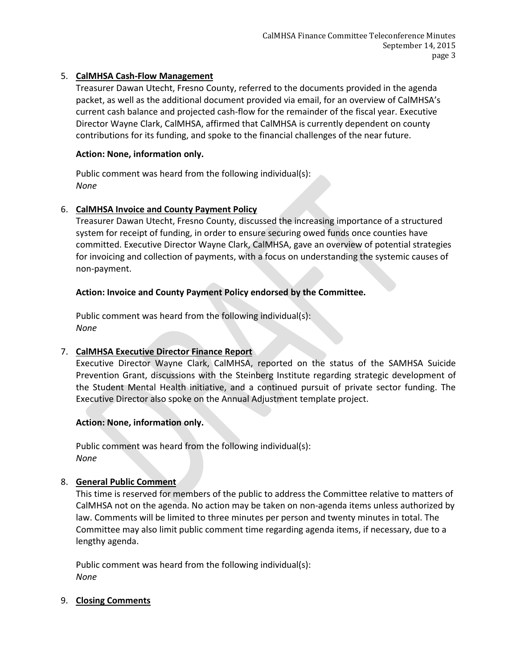## 5. **CalMHSA Cash-Flow Management**

Treasurer Dawan Utecht, Fresno County, referred to the documents provided in the agenda packet, as well as the additional document provided via email, for an overview of CalMHSA's current cash balance and projected cash-flow for the remainder of the fiscal year. Executive Director Wayne Clark, CalMHSA, affirmed that CalMHSA is currently dependent on county contributions for its funding, and spoke to the financial challenges of the near future.

## **Action: None, information only.**

Public comment was heard from the following individual(s): *None*

## 6. **CalMHSA Invoice and County Payment Policy**

Treasurer Dawan Utecht, Fresno County, discussed the increasing importance of a structured system for receipt of funding, in order to ensure securing owed funds once counties have committed. Executive Director Wayne Clark, CalMHSA, gave an overview of potential strategies for invoicing and collection of payments, with a focus on understanding the systemic causes of non-payment.

# **Action: Invoice and County Payment Policy endorsed by the Committee.**

Public comment was heard from the following individual(s): *None*

# 7. **CalMHSA Executive Director Finance Report**

Executive Director Wayne Clark, CalMHSA, reported on the status of the SAMHSA Suicide Prevention Grant, discussions with the Steinberg Institute regarding strategic development of the Student Mental Health initiative, and a continued pursuit of private sector funding. The Executive Director also spoke on the Annual Adjustment template project.

## **Action: None, information only.**

Public comment was heard from the following individual(s): *None*

## 8. **General Public Comment**

This time is reserved for members of the public to address the Committee relative to matters of CalMHSA not on the agenda. No action may be taken on non-agenda items unless authorized by law. Comments will be limited to three minutes per person and twenty minutes in total. The Committee may also limit public comment time regarding agenda items, if necessary, due to a lengthy agenda.

Public comment was heard from the following individual(s): *None*

## 9. **Closing Comments**